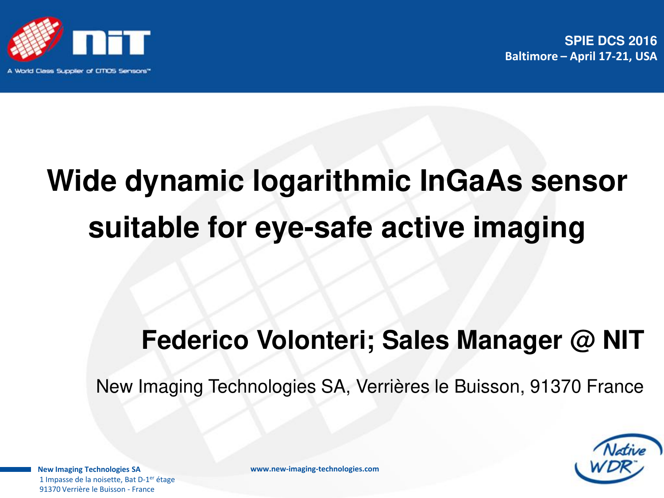

**SPIE DCS 2016 Baltimore – April 17-21, USA** 

# **Wide dynamic logarithmic InGaAs sensor suitable for eye-safe active imaging**

## **Federico Volonteri; Sales Manager @ NIT**

New Imaging Technologies SA, Verrières le Buisson, 91370 France



**New Imaging Technologies SA**  1 Impasse de la noisette. Bat D-1<sup>er</sup> étage 91370 Verrière le Buisson - France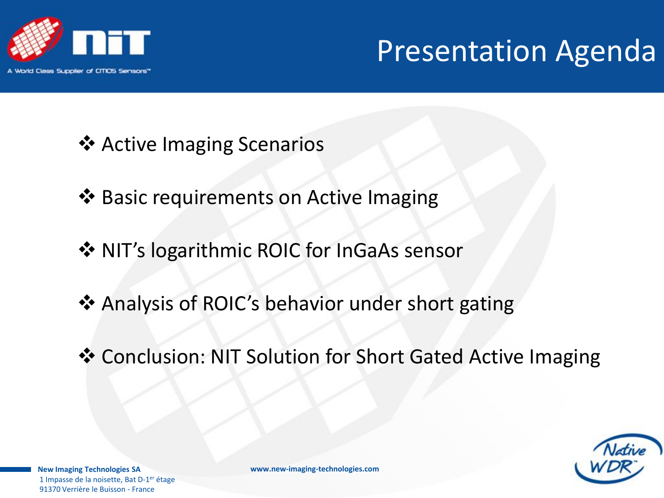

# Presentation Agenda

- ❖ Active Imaging Scenarios
- ❖ Basic requirements on Active Imaging
- $\diamond$  **NIT's logarithmic ROIC for InGaAs sensor**
- Analysis of ROIC's behavior under short gating
- Conclusion: NIT Solution for Short Gated Active Imaging



**New Imaging Technologies SA**  1 Impasse de la noisette, Bat D-1<sup>er</sup> étage 91370 Verrière le Buisson - France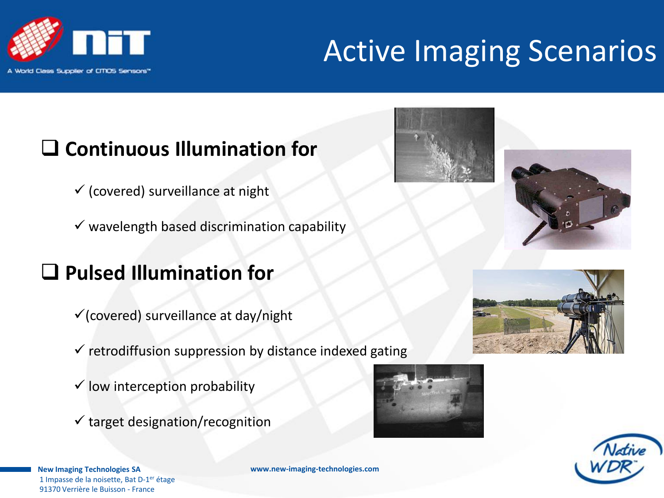

# Active Imaging Scenarios

### **Continuous Illumination for**

- $\checkmark$  (covered) surveillance at night
- $\checkmark$  wavelength based discrimination capability

### **Pulsed Illumination for**

- $\checkmark$  (covered) surveillance at day/night
- $\checkmark$  retrodiffusion suppression by distance indexed gating
- $\checkmark$  low interception probability
- $\checkmark$  target designation/recognition









**New Imaging Technologies SA**  1 Impasse de la noisette, Bat D-1<sup>er</sup> étage 91370 Verrière le Buisson - France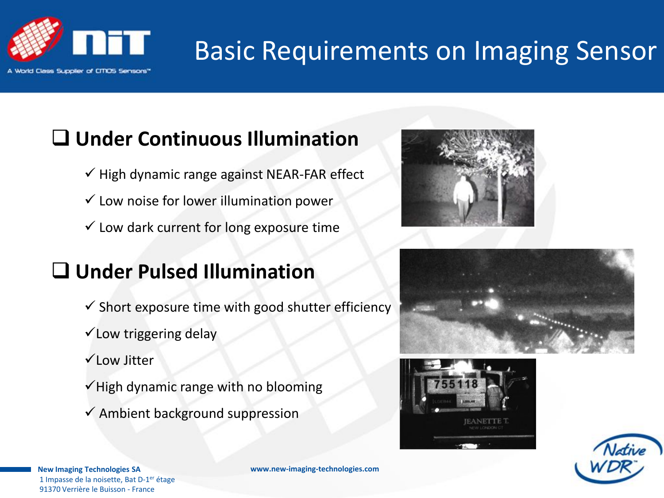

# Basic Requirements on Imaging Sensor

### **Under Continuous Illumination**

- $\checkmark$  High dynamic range against NEAR-FAR effect
- $\checkmark$  Low noise for lower illumination power
- $\checkmark$  Low dark current for long exposure time

### **Under Pulsed Illumination**

- $\checkmark$  Short exposure time with good shutter efficiency
- $\checkmark$  Low triggering delay
- Low Jitter
- $\checkmark$  High dynamic range with no blooming
- $\checkmark$  Ambient background suppression









**New Imaging Technologies SA**  1 Impasse de la noisette, Bat D-1<sup>er</sup> étage 91370 Verrière le Buisson - France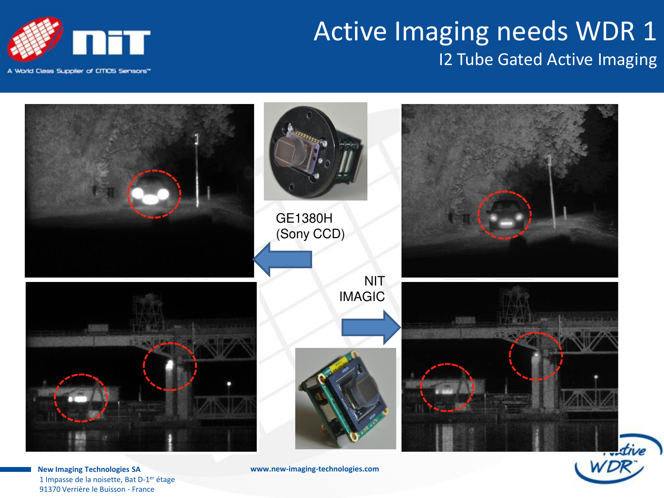

### Active Imaging needs WDR 1 I2 Tube Gated Active Imaging



1 Impasse de la noisette, Bat D-1<sup>er</sup> étage 91370 Verrière le Buisson - France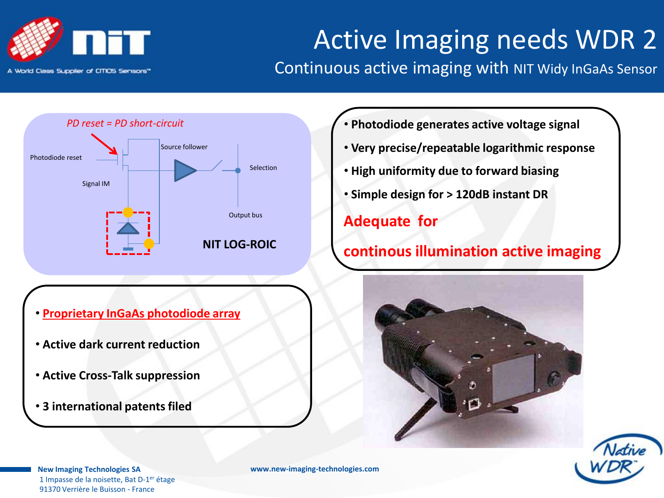

## Active Imaging needs WDR 2

#### Continuous active imaging with NIT Widy InGaAs Sensor



- **Proprietary InGaAs photodiode array**
- • **Active dark current reduction**
- • **Active Cross-Talk suppression**
- • **3 international patents filed**
- • **Photodiode generates active voltage signal**
- • **Very precise/repeatable logarithmic response**
- • **High uniformity due to forward biasing**
- • **Simple design for > 120dB instant DR**

#### **Adequate for**

#### **continous illumination active imaging**





**New Imaging Technologies SA**  1 Impasse de la noisette, Bat D-1<sup>er</sup> étage 91370 Verrière le Buisson - France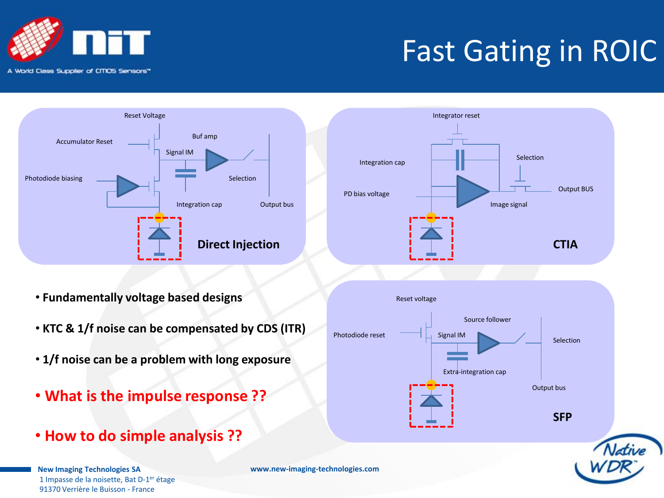









- • **Fundamentally voltage based designs**
- • **KTC & 1/f noise can be compensated by CDS (ITR)**
- • **1/f noise can be a problem with long exposure**
- • **What is the impulse response ??**
- • **How to do simple analysis ??**

**New Imaging Technologies SA**  1 Impasse de la noisette, Bat D-1<sup>er</sup> étage 91370 Verrière le Buisson - France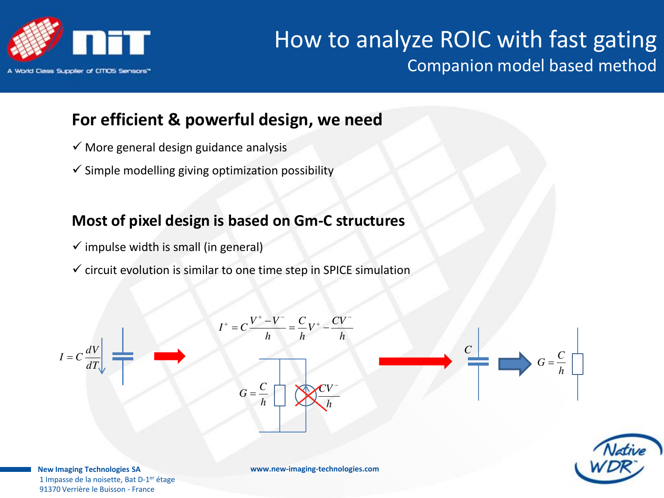

### How to analyze ROIC with fast gating Companion model based method

#### **For efficient & powerful design, we need**

- $\checkmark$  More general design guidance analysis
- $\checkmark$  Simple modelling giving optimization possibility

#### **Most of pixel design is based on Gm-C structures**

- $\checkmark$  impulse width is small (in general)
- $\checkmark$  circuit evolution is similar to one time step in SPICE simulation



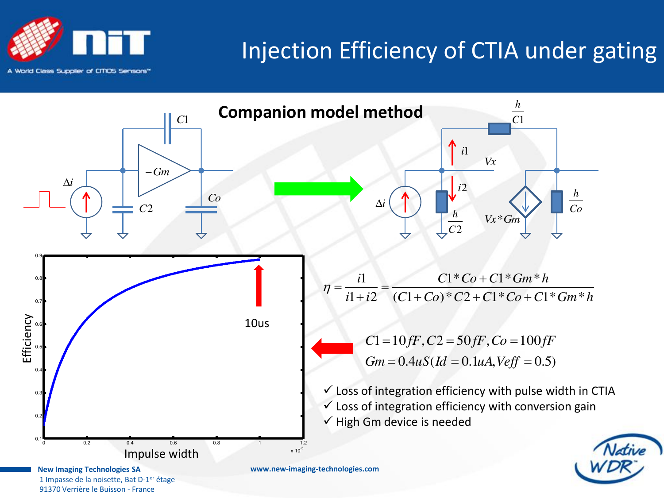

### Injection Efficiency of CTIA under gating

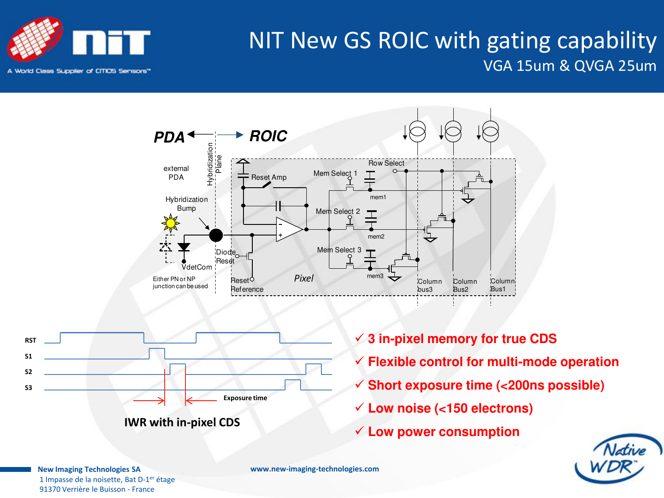







- **3 in-pixel memory for true CDS**
- **Flexible control for multi-mode operation**
- **Short exposure time (<200ns possible)**
- **Low noise (<150 electrons)**
- **Low power consumption**



**New Imaging Technologies SA**  1 Impasse de la noisette, Bat D-1<sup>er</sup> étage 91370 Verrière le Buisson - France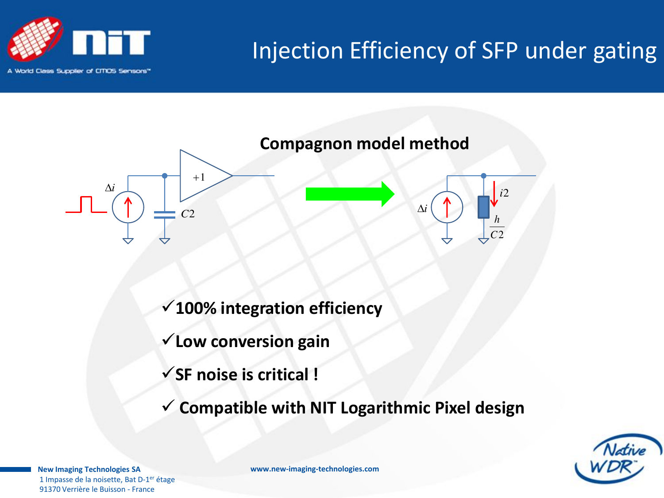

### Injection Efficiency of SFP under gating



- **100% integration efficiency**
- **Low conversion gain**
- **SF noise is critical !**
- **Compatible with NIT Logarithmic Pixel design**



**New Imaging Technologies SA**  1 Impasse de la noisette, Bat D-1<sup>er</sup> étage 91370 Verrière le Buisson - France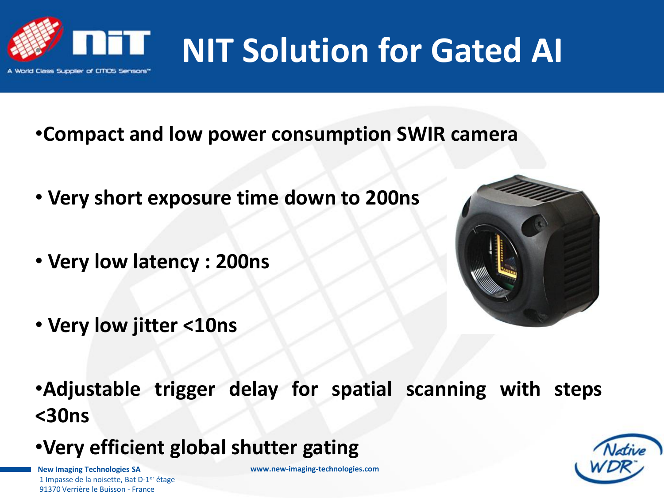

# **NIT Solution for Gated AI**

- •**Compact and low power consumption SWIR camera**
- • **Very short exposure time down to 200ns**
- • **Very low latency : 200ns**
- • **Very low jitter <10ns**



- •**Adjustable trigger delay for spatial scanning with steps <30ns**
- •**Very efficient global shutter gating**

**New Imaging Technologies SA**  1 Impasse de la noisette. Bat D-1<sup>er</sup> étage 91370 Verrière le Buisson - France

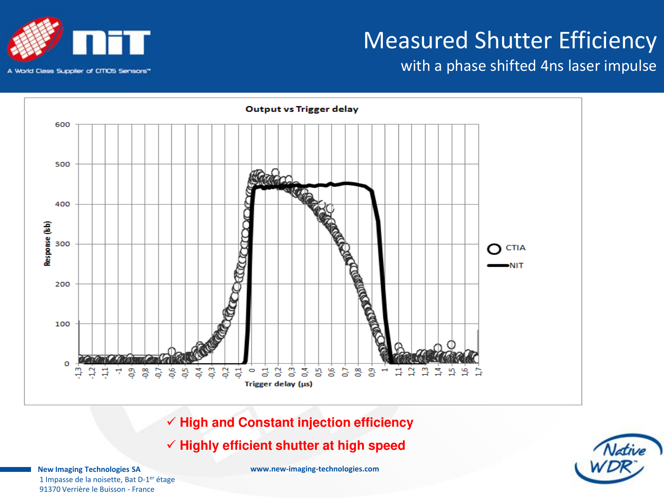

with a phase shifted 4ns laser impulse





 **High and Constant injection efficiency** 

 **Highly efficient shutter at high speed** 

**New Imaging Technologies SA**  1 Impasse de la noisette, Bat D-1<sup>er</sup> étage 91370 Verrière le Buisson - France